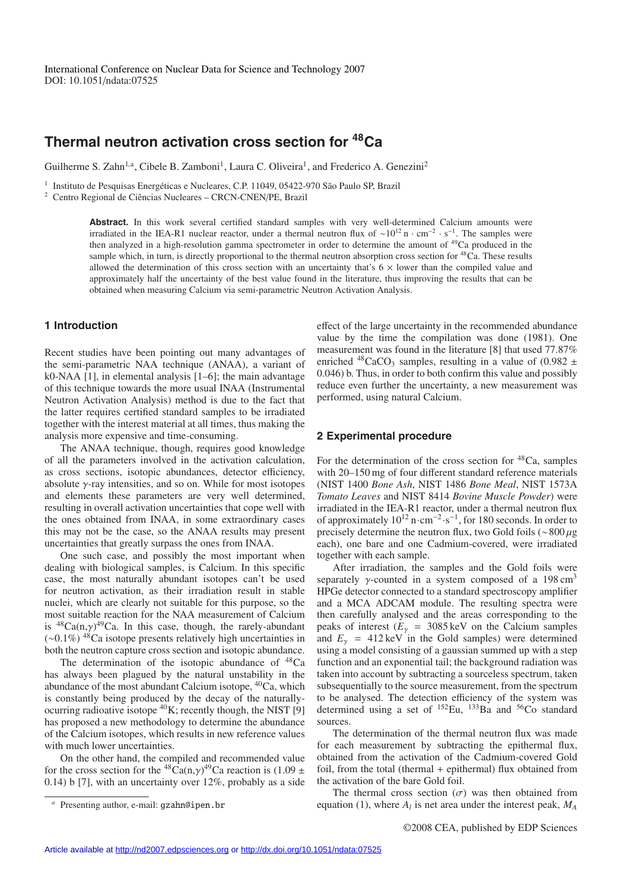# **Thermal neutron activation cross section for 48Ca**

Guilherme S. Zahn<sup>1,a</sup>, Cibele B. Zamboni<sup>1</sup>, Laura C. Oliveira<sup>1</sup>, and Frederico A. Genezini<sup>2</sup>

<sup>1</sup> Instituto de Pesquisas Energéticas e Nucleares, C.P. 11049, 05422-970 São Paulo SP, Brazil

<sup>2</sup> Centro Regional de Ciências Nucleares – CRCN-CNEN/PE, Brazil

Abstract. In this work several certified standard samples with very well-determined Calcium amounts were irradiated in the IEA-R1 nuclear reactor, under a thermal neutron flux of  $\sim 10^{12}$  n · cm<sup>-2</sup> · s<sup>−1</sup>. The samples were then analyzed in a high-resolution gamma spectrometer in order to determine the amount of <sup>49</sup>Ca produced in the sample which, in turn, is directly proportional to the thermal neutron absorption cross section for <sup>48</sup>Ca. These results allowed the determination of this cross section with an uncertainty that's  $6 \times$  lower than the compiled value and approximately half the uncertainty of the best value found in the literature, thus improving the results that can be obtained when measuring Calcium via semi-parametric Neutron Activation Analysis.

## **1 Introduction**

Recent studies have been pointing out many advantages of the semi-parametric NAA technique (ANAA), a variant of k0-NAA [1], in elemental analysis [1–6]; the main advantage of this technique towards the more usual INAA (Instrumental Neutron Activation Analysis) method is due to the fact that the latter requires certified standard samples to be irradiated together with the interest material at all times, thus making the analysis more expensive and time-consuming.

The ANAA technique, though, requires good knowledge of all the parameters involved in the activation calculation, as cross sections, isotopic abundances, detector efficiency, absolute  $\gamma$ -ray intensities, and so on. While for most isotopes and elements these parameters are very well determined, resulting in overall activation uncertainties that cope well with the ones obtained from INAA, in some extraordinary cases this may not be the case, so the ANAA results may present uncertainties that greatly surpass the ones from INAA.

One such case, and possibly the most important when dealing with biological samples, is Calcium. In this specific case, the most naturally abundant isotopes can't be used for neutron activation, as their irradiation result in stable nuclei, which are clearly not suitable for this purpose, so the most suitable reaction for the NAA measurement of Calcium is  ${}^{48}Ca(n,\gamma){}^{49}Ca$ . In this case, though, the rarely-abundant (∼0.1%) 48Ca isotope presents relatively high uncertainties in both the neutron capture cross section and isotopic abundance.

The determination of the isotopic abundance of  $^{48}Ca$ has always been plagued by the natural unstability in the abundance of the most abundant Calcium isotope, 40Ca, which is constantly being produced by the decay of the naturallyocurring radioative isotope  ${}^{40}$ K; recently though, the NIST [9] has proposed a new methodology to determine the abundance of the Calcium isotopes, which results in new reference values with much lower uncertainties.

On the other hand, the compiled and recommended value for the cross section for the <sup>48</sup>Ca(n, $\gamma$ )<sup>49</sup>Ca reaction is (1.09 ± 0.14) b [7], with an uncertainty over 12%, probably as a side effect of the large uncertainty in the recommended abundance value by the time the compilation was done (1981). One measurement was found in the literature [8] that used 77.87% enriched  $^{48}CaCO_3$  samples, resulting in a value of (0.982  $\pm$ 0.046) b. Thus, in order to both confirm this value and possibly reduce even further the uncertainty, a new measurement was performed, using natural Calcium.

### **2 Experimental procedure**

For the determination of the cross section for  $48Ca$ , samples with 20–150 mg of four different standard reference materials (NIST 1400 *Bone Ash*, NIST 1486 *Bone Meal*, NIST 1573A *Tomato Leaves* and NIST 8414 *Bovine Muscle Powder*) were irradiated in the IEA-R1 reactor, under a thermal neutron flux of approximately  $10^{12}$  n·cm<sup>-2</sup>·s<sup>-1</sup>, for 180 seconds. In order to precisely determine the neutron flux, two Gold foils (∼800 µg each), one bare and one Cadmium-covered, were irradiated together with each sample.

After irradiation, the samples and the Gold foils were separately  $\gamma$ -counted in a system composed of a 198 cm<sup>3</sup> HPGe detector connected to a standard spectroscopy amplifier and a MCA ADCAM module. The resulting spectra were then carefully analysed and the areas corresponding to the peaks of interest  $(E<sub>\gamma</sub> = 3085 \text{ keV}$  on the Calcium samples and  $E<sub>y</sub> = 412 \text{ keV}$  in the Gold samples) were determined using a model consisting of a gaussian summed up with a step function and an exponential tail; the background radiation was taken into account by subtracting a sourceless spectrum, taken subsequentially to the source measurement, from the spectrum to be analysed. The detection efficiency of the system was determined using a set of  $^{152}$ Eu,  $^{133}$ Ba and  $^{56}$ Co standard sources.

The determination of the thermal neutron flux was made for each measurement by subtracting the epithermal flux, obtained from the activation of the Cadmium-covered Gold foil, from the total (thermal + epithermal) flux obtained from the activation of the bare Gold foil.

The thermal cross section  $(\sigma)$  was then obtained from equation (1), where  $A_l$  is net area under the interest peak,  $M_A$ 

Presenting author, e-mail: gzahn@ipen.br